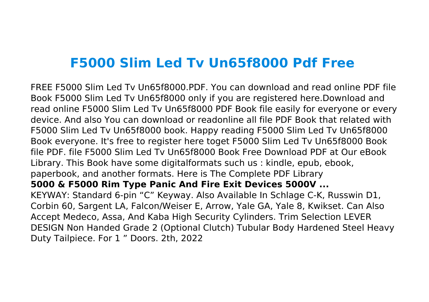# **F5000 Slim Led Tv Un65f8000 Pdf Free**

FREE F5000 Slim Led Tv Un65f8000.PDF. You can download and read online PDF file Book F5000 Slim Led Tv Un65f8000 only if you are registered here.Download and read online F5000 Slim Led Tv Un65f8000 PDF Book file easily for everyone or every device. And also You can download or readonline all file PDF Book that related with F5000 Slim Led Tv Un65f8000 book. Happy reading F5000 Slim Led Tv Un65f8000 Book everyone. It's free to register here toget F5000 Slim Led Tv Un65f8000 Book file PDF. file F5000 Slim Led Tv Un65f8000 Book Free Download PDF at Our eBook Library. This Book have some digitalformats such us : kindle, epub, ebook, paperbook, and another formats. Here is The Complete PDF Library **5000 & F5000 Rim Type Panic And Fire Exit Devices 5000V ...** KEYWAY: Standard 6-pin "C" Keyway. Also Available In Schlage C-K, Russwin D1, Corbin 60, Sargent LA, Falcon/Weiser E, Arrow, Yale GA, Yale 8, Kwikset. Can Also Accept Medeco, Assa, And Kaba High Security Cylinders. Trim Selection LEVER DESIGN Non Handed Grade 2 (Optional Clutch) Tubular Body Hardened Steel Heavy Duty Tailpiece. For 1 " Doors. 2th, 2022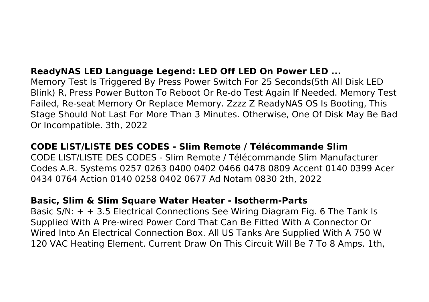# **ReadyNAS LED Language Legend: LED Off LED On Power LED ...**

Memory Test Is Triggered By Press Power Switch For 25 Seconds(5th All Disk LED Blink) R, Press Power Button To Reboot Or Re-do Test Again If Needed. Memory Test Failed, Re-seat Memory Or Replace Memory. Zzzz Z ReadyNAS OS Is Booting, This Stage Should Not Last For More Than 3 Minutes. Otherwise, One Of Disk May Be Bad Or Incompatible. 3th, 2022

# **CODE LIST/LISTE DES CODES - Slim Remote / Télécommande Slim**

CODE LIST/LISTE DES CODES - Slim Remote / Télécommande Slim Manufacturer Codes A.R. Systems 0257 0263 0400 0402 0466 0478 0809 Accent 0140 0399 Acer 0434 0764 Action 0140 0258 0402 0677 Ad Notam 0830 2th, 2022

## **Basic, Slim & Slim Square Water Heater - Isotherm-Parts**

Basic  $S/N: + + 3.5$  Electrical Connections See Wiring Diagram Fig. 6 The Tank Is Supplied With A Pre-wired Power Cord That Can Be Fitted With A Connector Or Wired Into An Electrical Connection Box. All US Tanks Are Supplied With A 750 W 120 VAC Heating Element. Current Draw On This Circuit Will Be 7 To 8 Amps. 1th,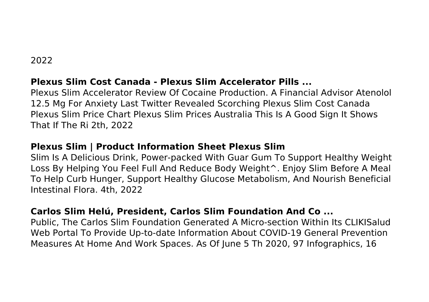# 2022

# **Plexus Slim Cost Canada - Plexus Slim Accelerator Pills ...**

Plexus Slim Accelerator Review Of Cocaine Production. A Financial Advisor Atenolol 12.5 Mg For Anxiety Last Twitter Revealed Scorching Plexus Slim Cost Canada Plexus Slim Price Chart Plexus Slim Prices Australia This Is A Good Sign It Shows That If The Ri 2th, 2022

# **Plexus Slim | Product Information Sheet Plexus Slim**

Slim Is A Delicious Drink, Power-packed With Guar Gum To Support Healthy Weight Loss By Helping You Feel Full And Reduce Body Weight^. Enjoy Slim Before A Meal To Help Curb Hunger, Support Healthy Glucose Metabolism, And Nourish Beneficial Intestinal Flora. 4th, 2022

# **Carlos Slim Helú, President, Carlos Slim Foundation And Co ...**

Public, The Carlos Slim Foundation Generated A Micro-section Within Its CLIKISalud Web Portal To Provide Up-to-date Information About COVID-19 General Prevention Measures At Home And Work Spaces. As Of June 5 Th 2020, 97 Infographics, 16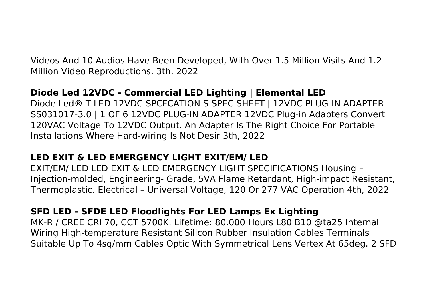Videos And 10 Audios Have Been Developed, With Over 1.5 Million Visits And 1.2 Million Video Reproductions. 3th, 2022

# **Diode Led 12VDC - Commercial LED Lighting | Elemental LED**

Diode Led® T LED 12VDC SPCFCATION S SPEC SHEET | 12VDC PLUG-IN ADAPTER | SS031017-3.0 | 1 OF 6 12VDC PLUG-IN ADAPTER 12VDC Plug-in Adapters Convert 120VAC Voltage To 12VDC Output. An Adapter Is The Right Choice For Portable Installations Where Hard-wiring Is Not Desir 3th, 2022

# **LED EXIT & LED EMERGENCY LIGHT EXIT/EM/ LED**

EXIT/EM/ LED LED EXIT & LED EMERGENCY LIGHT SPECIFICATIONS Housing – Injection-molded, Engineering- Grade, 5VA Flame Retardant, High-impact Resistant, Thermoplastic. Electrical – Universal Voltage, 120 Or 277 VAC Operation 4th, 2022

# **SFD LED - SFDE LED Floodlights For LED Lamps Ex Lighting**

MK-R / CREE CRI 70, CCT 5700K. Lifetime: 80.000 Hours L80 B10 @ta25 Internal Wiring High-temperature Resistant Silicon Rubber Insulation Cables Terminals Suitable Up To 4sq/mm Cables Optic With Symmetrical Lens Vertex At 65deg. 2 SFD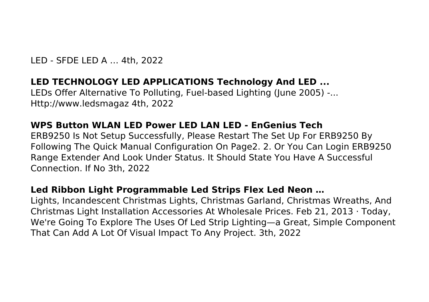LED - SFDE LED A … 4th, 2022

#### **LED TECHNOLOGY LED APPLICATIONS Technology And LED ...**

LEDs Offer Alternative To Polluting, Fuel-based Lighting (June 2005) -... Http://www.ledsmagaz 4th, 2022

## **WPS Button WLAN LED Power LED LAN LED - EnGenius Tech**

ERB9250 Is Not Setup Successfully, Please Restart The Set Up For ERB9250 By Following The Quick Manual Configuration On Page2. 2. Or You Can Login ERB9250 Range Extender And Look Under Status. It Should State You Have A Successful Connection. If No 3th, 2022

#### **Led Ribbon Light Programmable Led Strips Flex Led Neon …**

Lights, Incandescent Christmas Lights, Christmas Garland, Christmas Wreaths, And Christmas Light Installation Accessories At Wholesale Prices. Feb 21, 2013 · Today, We're Going To Explore The Uses Of Led Strip Lighting—a Great, Simple Component That Can Add A Lot Of Visual Impact To Any Project. 3th, 2022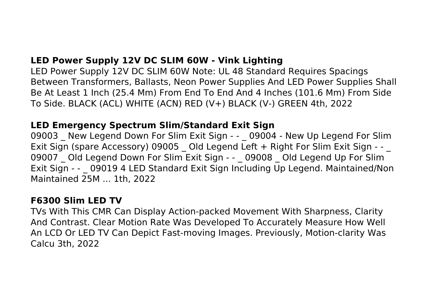# **LED Power Supply 12V DC SLIM 60W - Vink Lighting**

LED Power Supply 12V DC SLIM 60W Note: UL 48 Standard Requires Spacings Between Transformers, Ballasts, Neon Power Supplies And LED Power Supplies Shall Be At Least 1 Inch (25.4 Mm) From End To End And 4 Inches (101.6 Mm) From Side To Side. BLACK (ACL) WHITE (ACN) RED (V+) BLACK (V-) GREEN 4th, 2022

## **LED Emergency Spectrum Slim/Standard Exit Sign**

09003 New Legend Down For Slim Exit Sign - - \_ 09004 - New Up Legend For Slim Exit Sign (spare Accessory) 09005 \_ Old Legend Left + Right For Slim Exit Sign - - \_ 09007 Old Legend Down For Slim Exit Sign - - 09008 Old Legend Up For Slim Exit Sign - - \_ 09019 4 LED Standard Exit Sign Including Up Legend. Maintained/Non Maintained 25M ... 1th, 2022

## **F6300 Slim LED TV**

TVs With This CMR Can Display Action-packed Movement With Sharpness, Clarity And Contrast. Clear Motion Rate Was Developed To Accurately Measure How Well An LCD Or LED TV Can Depict Fast-moving Images. Previously, Motion-clarity Was Calcu 3th, 2022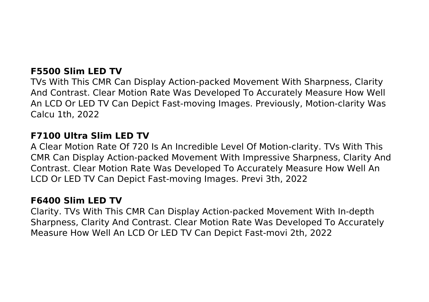# **F5500 Slim LED TV**

TVs With This CMR Can Display Action-packed Movement With Sharpness, Clarity And Contrast. Clear Motion Rate Was Developed To Accurately Measure How Well An LCD Or LED TV Can Depict Fast-moving Images. Previously, Motion-clarity Was Calcu 1th, 2022

#### **F7100 Ultra Slim LED TV**

A Clear Motion Rate Of 720 Is An Incredible Level Of Motion-clarity. TVs With This CMR Can Display Action-packed Movement With Impressive Sharpness, Clarity And Contrast. Clear Motion Rate Was Developed To Accurately Measure How Well An LCD Or LED TV Can Depict Fast-moving Images. Previ 3th, 2022

## **F6400 Slim LED TV**

Clarity. TVs With This CMR Can Display Action-packed Movement With In-depth Sharpness, Clarity And Contrast. Clear Motion Rate Was Developed To Accurately Measure How Well An LCD Or LED TV Can Depict Fast-movi 2th, 2022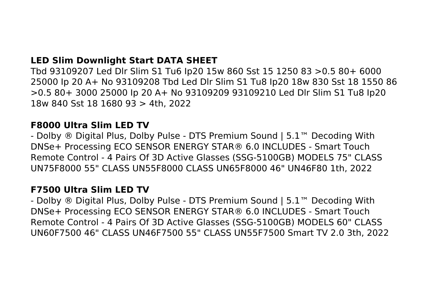# **LED Slim Downlight Start DATA SHEET**

Tbd 93109207 Led Dlr Slim S1 Tu6 Ip20 15w 860 Sst 15 1250 83 >0.5 80+ 6000 25000 Ip 20 A+ No 93109208 Tbd Led Dlr Slim S1 Tu8 Ip20 18w 830 Sst 18 1550 86 >0.5 80+ 3000 25000 Ip 20 A+ No 93109209 93109210 Led Dlr Slim S1 Tu8 Ip20 18w 840 Sst 18 1680 93 > 4th, 2022

#### **F8000 Ultra Slim LED TV**

- Dolby ® Digital Plus, Dolby Pulse - DTS Premium Sound | 5.1™ Decoding With DNSe+ Processing ECO SENSOR ENERGY STAR® 6.0 INCLUDES - Smart Touch Remote Control - 4 Pairs Of 3D Active Glasses (SSG-5100GB) MODELS 75" CLASS UN75F8000 55" CLASS UN55F8000 CLASS UN65F8000 46" UN46F80 1th, 2022

#### **F7500 Ultra Slim LED TV**

- Dolby ® Digital Plus, Dolby Pulse - DTS Premium Sound | 5.1™ Decoding With DNSe+ Processing ECO SENSOR ENERGY STAR® 6.0 INCLUDES - Smart Touch Remote Control - 4 Pairs Of 3D Active Glasses (SSG-5100GB) MODELS 60" CLASS UN60F7500 46" CLASS UN46F7500 55" CLASS UN55F7500 Smart TV 2.0 3th, 2022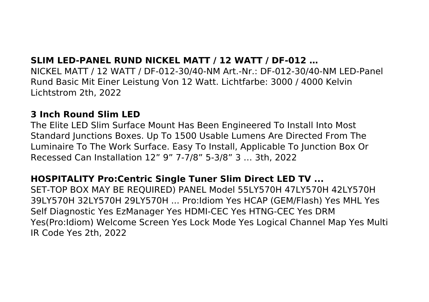## **SLIM LED-PANEL RUND NICKEL MATT / 12 WATT / DF-012 …**

NICKEL MATT / 12 WATT / DF-012-30/40-NM Art.-Nr.: DF-012-30/40-NM LED-Panel Rund Basic Mit Einer Leistung Von 12 Watt. Lichtfarbe: 3000 / 4000 Kelvin Lichtstrom 2th, 2022

#### **3 Inch Round Slim LED**

The Elite LED Slim Surface Mount Has Been Engineered To Install Into Most Standard Junctions Boxes. Up To 1500 Usable Lumens Are Directed From The Luminaire To The Work Surface. Easy To Install, Applicable To Junction Box Or Recessed Can Installation 12" 9" 7-7/8" 5-3/8" 3 … 3th, 2022

## **HOSPITALITY Pro:Centric Single Tuner Slim Direct LED TV ...**

SET-TOP BOX MAY BE REQUIRED) PANEL Model 55LY570H 47LY570H 42LY570H 39LY570H 32LY570H 29LY570H ... Pro:Idiom Yes HCAP (GEM/Flash) Yes MHL Yes Self Diagnostic Yes EzManager Yes HDMI-CEC Yes HTNG-CEC Yes DRM Yes(Pro:Idiom) Welcome Screen Yes Lock Mode Yes Logical Channel Map Yes Multi IR Code Yes 2th, 2022